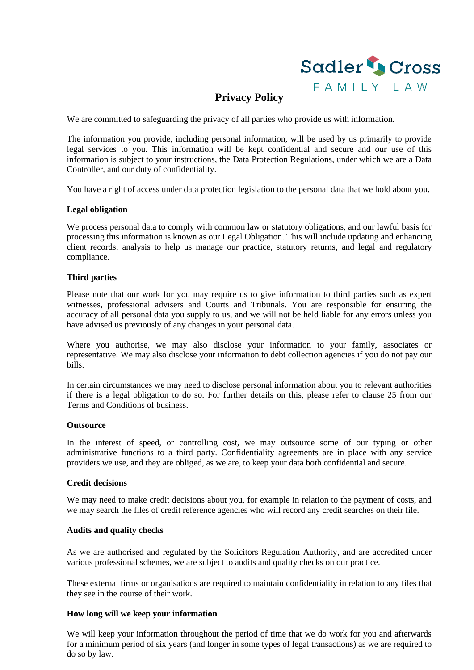

# **Privacy Policy**

We are committed to safeguarding the privacy of all parties who provide us with information.

The information you provide, including personal information, will be used by us primarily to provide legal services to you. This information will be kept confidential and secure and our use of this information is subject to your instructions, the Data Protection Regulations, under which we are a Data Controller, and our duty of confidentiality.

You have a right of access under data protection legislation to the personal data that we hold about you.

## **Legal obligation**

We process personal data to comply with common law or statutory obligations, and our lawful basis for processing this information is known as our Legal Obligation. This will include updating and enhancing client records, analysis to help us manage our practice, statutory returns, and legal and regulatory compliance.

## **Third parties**

Please note that our work for you may require us to give information to third parties such as expert witnesses, professional advisers and Courts and Tribunals. You are responsible for ensuring the accuracy of all personal data you supply to us, and we will not be held liable for any errors unless you have advised us previously of any changes in your personal data.

Where you authorise, we may also disclose your information to your family, associates or representative. We may also disclose your information to debt collection agencies if you do not pay our bills.

In certain circumstances we may need to disclose personal information about you to relevant authorities if there is a legal obligation to do so. For further details on this, please refer to clause 25 from our Terms and Conditions of business.

#### **Outsource**

In the interest of speed, or controlling cost, we may outsource some of our typing or other administrative functions to a third party. Confidentiality agreements are in place with any service providers we use, and they are obliged, as we are, to keep your data both confidential and secure.

#### **Credit decisions**

We may need to make credit decisions about you, for example in relation to the payment of costs, and we may search the files of credit reference agencies who will record any credit searches on their file.

#### **Audits and quality checks**

As we are authorised and regulated by the Solicitors Regulation Authority, and are accredited under various professional schemes, we are subject to audits and quality checks on our practice.

These external firms or organisations are required to maintain confidentiality in relation to any files that they see in the course of their work.

# **How long will we keep your information**

We will keep your information throughout the period of time that we do work for you and afterwards for a minimum period of six years (and longer in some types of legal transactions) as we are required to do so by law.